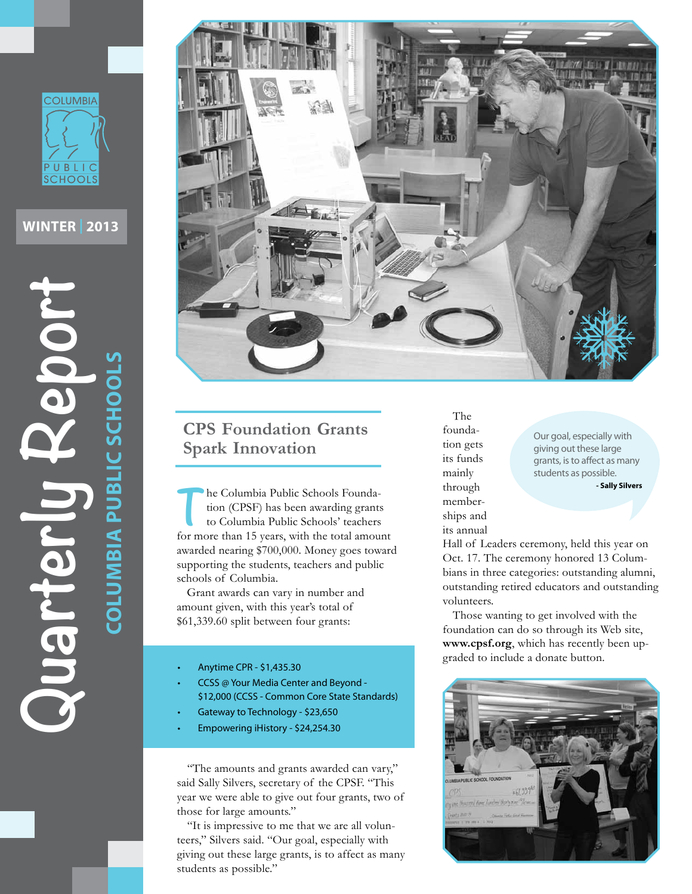

**WINTER | 2013**





## **CPS Foundation Grants Spark Innovation**

The Columbia Public Schools Founda-<br>tion (CPSF) has been awarding grants<br>to Columbia Public Schools' teachers tion (CPSF) has been awarding grants to Columbia Public Schools' teachers for more than 15 years, with the total amount awarded nearing \$700,000. Money goes toward supporting the students, teachers and public schools of Columbia.

Grant awards can vary in number and amount given, with this year's total of \$61,339.60 split between four grants:

- Anytime CPR \$1,435.30
- CCSS @ Your Media Center and Beyond -\$12,000 (CCSS - Common Core State Standards)
- Gateway to Technology \$23,650
- Empowering iHistory \$24,254.30

"The amounts and grants awarded can vary," said Sally Silvers, secretary of the CPSF. "This year we were able to give out four grants, two of those for large amounts."

"It is impressive to me that we are all volunteers," Silvers said. "Our goal, especially with giving out these large grants, is to affect as many students as possible."

The foundation gets its funds mainly through memberships and its annual

Our goal, especially with giving out these large grants, is to affect as many students as possible.

**- Sally Silvers**

Hall of Leaders ceremony, held this year on Oct. 17. The ceremony honored 13 Columbians in three categories: outstanding alumni, outstanding retired educators and outstanding volunteers.

Those wanting to get involved with the foundation can do so through its Web site, **www.cpsf.org**, which has recently been upgraded to include a donate button.

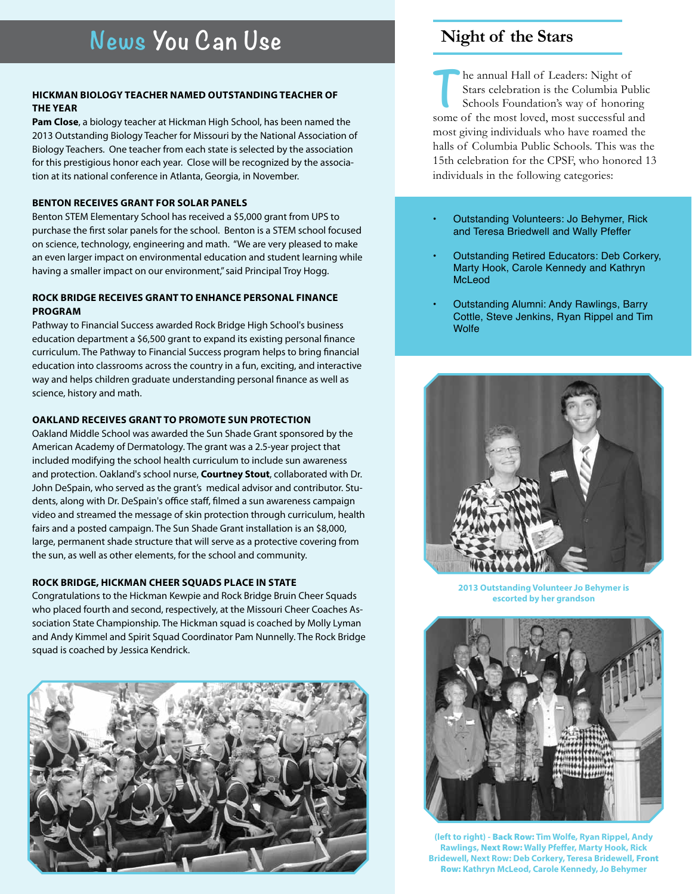## **Hickman biology teacher named outstanding teacher of the year**

**Pam Close**, a biology teacher at Hickman High School, has been named the 2013 Outstanding Biology Teacher for Missouri by the National Association of Biology Teachers. One teacher from each state is selected by the association for this prestigious honor each year. Close will be recognized by the association at its national conference in Atlanta, Georgia, in November.

### **Benton receiveS grant for solar panels**

Benton STEM Elementary School has received a \$5,000 grant from UPS to purchase the first solar panels for the school. Benton is a STEM school focused on science, technology, engineering and math. "We are very pleased to make an even larger impact on environmental education and student learning while having a smaller impact on our environment," said Principal Troy Hogg.

## **Rock Bridge receives grant to enhance personal finance program**

Pathway to Financial Success awarded Rock Bridge High School's business education department a \$6,500 grant to expand its existing personal finance curriculum. The Pathway to Financial Success program helps to bring financial education into classrooms across the country in a fun, exciting, and interactive way and helps children graduate understanding personal finance as well as science, history and math.

## **Oakland receives grant to promote sun protection**

Oakland Middle School was awarded the Sun Shade Grant sponsored by the American Academy of Dermatology. The grant was a 2.5-year project that included modifying the school health curriculum to include sun awareness and protection. Oakland's school nurse, **Courtney Stout**, collaborated with Dr. John DeSpain, who served as the grant's medical advisor and contributor. Students, along with Dr. DeSpain's office staff, filmed a sun awareness campaign video and streamed the message of skin protection through curriculum, health fairs and a posted campaign. The Sun Shade Grant installation is an \$8,000, large, permanent shade structure that will serve as a protective covering from the sun, as well as other elements, for the school and community.

### **Rock Bridge, Hickman cheer squadS PLACE in state**

Congratulations to the Hickman Kewpie and Rock Bridge Bruin Cheer Squads who placed fourth and second, respectively, at the Missouri Cheer Coaches Association State Championship. The Hickman squad is coached by Molly Lyman and Andy Kimmel and Spirit Squad Coordinator Pam Nunnelly. The Rock Bridge squad is coached by Jessica Kendrick.



## **Night of the Stars**

**T**he annual Hall of Leaders: Night of Stars celebration is the Columbia Public Schools Foundation's way of honoring some of the most loved, most successful and most giving individuals who have roamed the halls of Columbia Public Schools. This was the 15th celebration for the CPSF, who honored 13 individuals in the following categories:

- Outstanding Volunteers: Jo Behymer, Rick and Teresa Briedwell and Wally Pfeffer
- Outstanding Retired Educators: Deb Corkery, Marty Hook, Carole Kennedy and Kathryn McLeod
- Outstanding Alumni: Andy Rawlings, Barry Cottle, Steve Jenkins, Ryan Rippel and Tim **Wolfe**



**2013 Outstanding Volunteer Jo Behymer is escorted by her grandson** 



**(left to right) -** Back Row: **Tim Wolfe, Ryan Rippel, Andy Rawlings,** Next Row: **Wally Pfeffer, Marty Hook, Rick Bridewell, Next Row: Deb Corkery, Teresa Bridewell,** Front Row: **Kathryn McLeod, Carole Kennedy, Jo Behymer**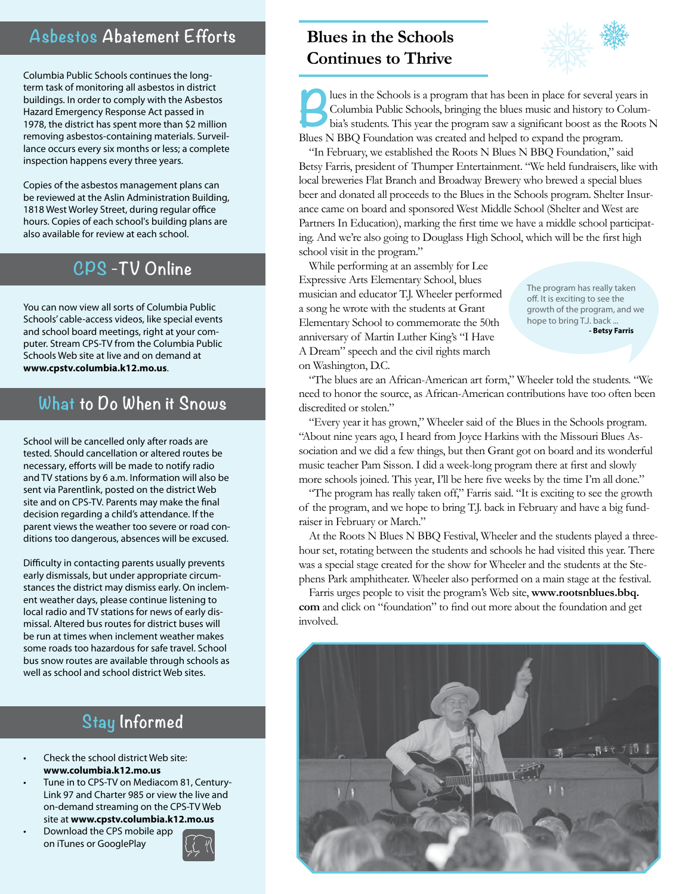## **Asbestos Abatement Efforts**

Columbia Public Schools continues the longterm task of monitoring all asbestos in district buildings. In order to comply with the Asbestos Hazard Emergency Response Act passed in 1978, the district has spent more than \$2 million removing asbestos-containing materials. Surveillance occurs every six months or less; a complete inspection happens every three years.

Copies of the asbestos management plans can be reviewed at the Aslin Administration Building, 1818 West Worley Street, during regular office hours. Copies of each school's building plans are also available for review at each school.

# **CPS -TV Online**

You can now view all sorts of Columbia Public Schools' cable-access videos, like special events and school board meetings, right at your computer. Stream CPS-TV from the Columbia Public Schools Web site at live and on demand at **www.cpstv.columbia.k12.mo.us**.

## **What to Do When it Snows**

School will be cancelled only after roads are tested. Should cancellation or altered routes be necessary, efforts will be made to notify radio and TV stations by 6 a.m. Information will also be sent via Parentlink, posted on the district Web site and on CPS-TV. Parents may make the final decision regarding a child's attendance. If the parent views the weather too severe or road conditions too dangerous, absences will be excused.

Difficulty in contacting parents usually prevents early dismissals, but under appropriate circumstances the district may dismiss early. On inclement weather days, please continue listening to local radio and TV stations for news of early dismissal. Altered bus routes for district buses will be run at times when inclement weather makes some roads too hazardous for safe travel. School bus snow routes are available through schools as well as school and school district Web sites.

# **Stay Informed**

- Check the school district Web site: **www.columbia.k12.mo.us**
- Tune in to CPS-TV on Mediacom 81, Century-Link 97 and Charter 985 or view the live and on-demand streaming on the CPS-TV Web site at **www.cpstv.columbia.k12.mo.us**
- Download the CPS mobile app on iTunes or GooglePlay



# **Blues in the Schools Continues to Thrive**



**Blues in the Schools is a program that has been in place for several years in**<br> **Columbia**'s students. This year the program saw a significant boost as the Roots N<br> **Blues N BBO Foundation wes created and behead to expond** Columbia Public Schools, bringing the blues music and history to Colum-Blues N BBQ Foundation was created and helped to expand the program.

"In February, we established the Roots N Blues N BBQ Foundation," said Betsy Farris, president of Thumper Entertainment. "We held fundraisers, like with local breweries Flat Branch and Broadway Brewery who brewed a special blues beer and donated all proceeds to the Blues in the Schools program. Shelter Insurance came on board and sponsored West Middle School (Shelter and West are Partners In Education), marking the first time we have a middle school participating. And we're also going to Douglass High School, which will be the first high school visit in the program."

While performing at an assembly for Lee Expressive Arts Elementary School, blues musician and educator T.J. Wheeler performed a song he wrote with the students at Grant Elementary School to commemorate the 50th anniversary of Martin Luther King's "I Have A Dream" speech and the civil rights march on Washington, D.C.

The program has really taken off. It is exciting to see the growth of the program, and we hope to bring T.J. back ... **- Betsy Farris**

"The blues are an African-American art form," Wheeler told the students. "We need to honor the source, as African-American contributions have too often been discredited or stolen."

"Every year it has grown," Wheeler said of the Blues in the Schools program. "About nine years ago, I heard from Joyce Harkins with the Missouri Blues Association and we did a few things, but then Grant got on board and its wonderful music teacher Pam Sisson. I did a week-long program there at first and slowly more schools joined. This year, I'll be here five weeks by the time I'm all done."

"The program has really taken off," Farris said. "It is exciting to see the growth of the program, and we hope to bring T.J. back in February and have a big fundraiser in February or March."

At the Roots N Blues N BBQ Festival, Wheeler and the students played a threehour set, rotating between the students and schools he had visited this year. There was a special stage created for the show for Wheeler and the students at the Stephens Park amphitheater. Wheeler also performed on a main stage at the festival.

Farris urges people to visit the program's Web site, **www.rootsnblues.bbq. com** and click on "foundation" to find out more about the foundation and get involved.

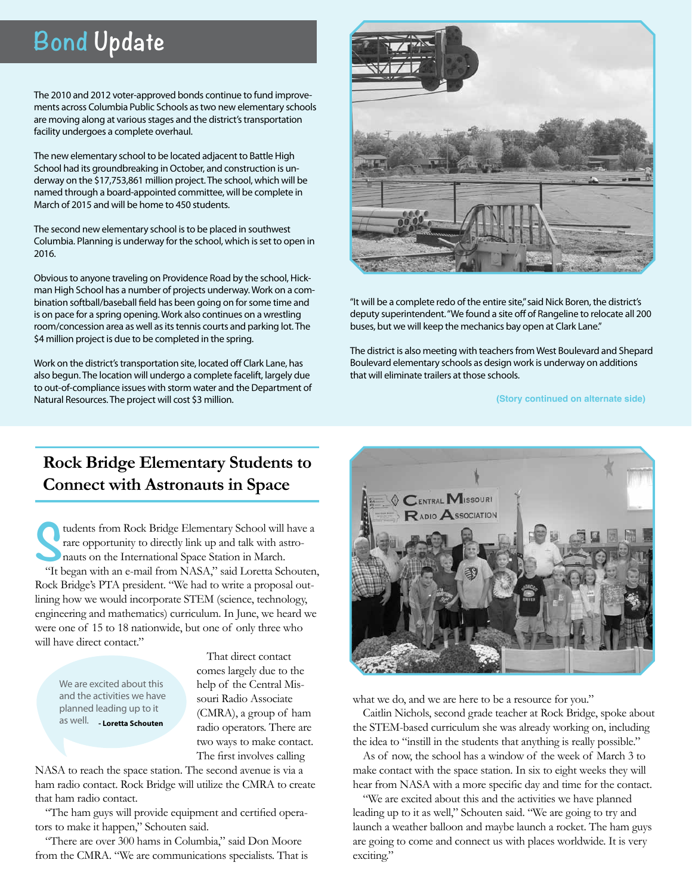# **Bond Update**

The 2010 and 2012 voter-approved bonds continue to fund improvements across Columbia Public Schools astwo new elementary schools are moving along at various stages and the district's transportation facility undergoes a complete overhaul.

The new elementary school to be located adjacent to Battle High School had its groundbreaking in October, and construction is underway on the \$17,753,861 million project. The school, which will be named through a board-appointed committee, will be complete in March of 2015 and will be home to 450 students.

The second new elementary school is to be placed in southwest Columbia. Planning is underway for the school, which is set to open in 2016.

Obvious to anyone traveling on Providence Road by the school, Hickman High School has a number of projects underway.Work on a combination softball/baseball field has been going on for some time and is on pace for a spring opening.Work also continues on a wrestling room/concession area as well as its tennis courts and parking lot. The \$4 million project is due to be completed in the spring.

Work on the district's transportation site, located off Clark Lane, has also begun. The location will undergo a complete facelift, largely due to out-of-compliance issues with storm water and the Department of Natural Resources. The project will cost \$3 million.



"It will be a complete redo of the entire site,"said Nick Boren, the district's deputy superintendent."We found a site off of Rangeline to relocate all 200 buses, but we will keep the mechanics bay open at Clark Lane."

The district is also meeting with teachers from West Boulevard and Shepard Boulevard elementary schools as design work is underway on additions that will eliminate trailers at those schools.

**(Story continued on alternate side)**

## **Rock Bridge Elementary Students to Connect with Astronauts in Space**

It began with an e-mail from NASA," said Loretta Schouten, tudents from Rock Bridge Elementary School will have a rare opportunity to directly link up and talk with astronauts on the International Space Station in March. Rock Bridge's PTA president. "We had to write a proposal outlining how we would incorporate STEM (science, technology, engineering and mathematics) curriculum. In June, we heard we were one of 15 to 18 nationwide, but one of only three who will have direct contact."

We are excited about this and the activities we have planned leading up to it as well. **- Loretta Schouten**

That direct contact comes largely due to the help of the Central Missouri Radio Associate (CMRA), a group of ham radio operators. There are two ways to make contact. The first involves calling

NASA to reach the space station. The second avenue is via a ham radio contact. Rock Bridge will utilize the CMRA to create that ham radio contact.

"The ham guys will provide equipment and certified operators to make it happen," Schouten said.

"There are over 300 hams in Columbia," said Don Moore from the CMRA. "We are communications specialists. That is



what we do, and we are here to be a resource for you."

Caitlin Nichols, second grade teacher at Rock Bridge, spoke about the STEM-based curriculum she was already working on, including the idea to "instill in the students that anything is really possible."

As of now, the school has a window of the week of March 3 to make contact with the space station. In six to eight weeks they will hear from NASA with a more specific day and time for the contact.

"We are excited about this and the activities we have planned leading up to it as well," Schouten said. "We are going to try and launch a weather balloon and maybe launch a rocket. The ham guys are going to come and connect us with places worldwide. It is very exciting."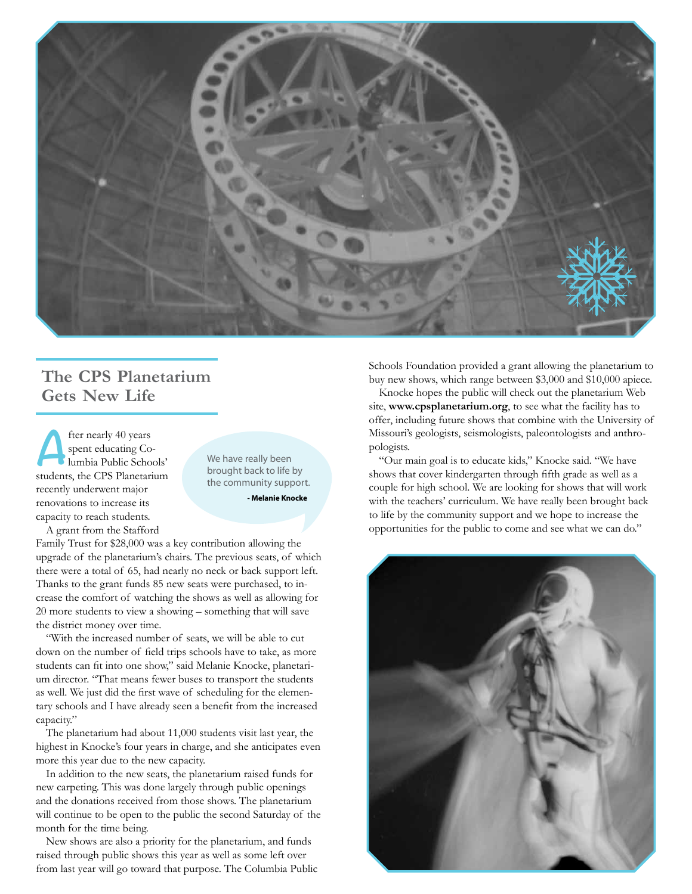

## **The CPS Planetarium Gets New Life**

**A** fter nearly 40 years<br>spent educating Co-<br>lumbia Public Schospent educating Columbia Public Schools' students, the CPS Planetarium recently underwent major renovations to increase its capacity to reach students. A grant from the Stafford

We have really been brought back to life by the community support.

**- Melanie Knocke**

Family Trust for \$28,000 was a key contribution allowing the upgrade of the planetarium's chairs. The previous seats, of which there were a total of 65, had nearly no neck or back support left. Thanks to the grant funds 85 new seats were purchased, to increase the comfort of watching the shows as well as allowing for 20 more students to view a showing – something that will save the district money over time.

"With the increased number of seats, we will be able to cut down on the number of field trips schools have to take, as more students can fit into one show," said Melanie Knocke, planetarium director. "That means fewer buses to transport the students as well. We just did the first wave of scheduling for the elementary schools and I have already seen a benefit from the increased capacity."

The planetarium had about 11,000 students visit last year, the highest in Knocke's four years in charge, and she anticipates even more this year due to the new capacity.

In addition to the new seats, the planetarium raised funds for new carpeting. This was done largely through public openings and the donations received from those shows. The planetarium will continue to be open to the public the second Saturday of the month for the time being.

New shows are also a priority for the planetarium, and funds raised through public shows this year as well as some left over from last year will go toward that purpose. The Columbia Public Schools Foundation provided a grant allowing the planetarium to buy new shows, which range between \$3,000 and \$10,000 apiece.

Knocke hopes the public will check out the planetarium Web site, **www.cpsplanetarium.org**, to see what the facility has to offer, including future shows that combine with the University of Missouri's geologists, seismologists, paleontologists and anthropologists.

"Our main goal is to educate kids," Knocke said. "We have shows that cover kindergarten through fifth grade as well as a couple for high school. We are looking for shows that will work with the teachers' curriculum. We have really been brought back to life by the community support and we hope to increase the opportunities for the public to come and see what we can do."